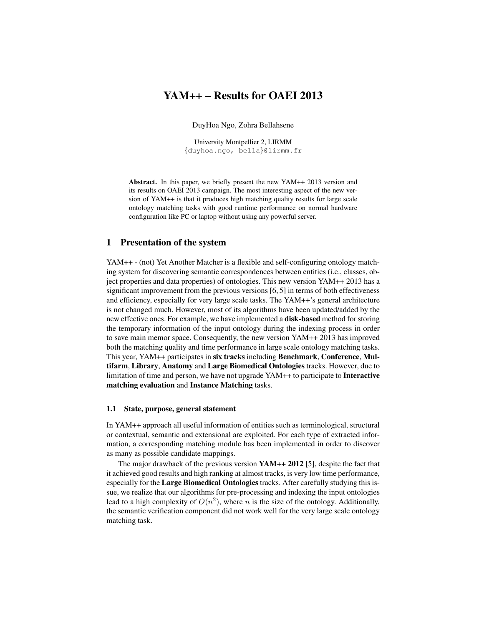# YAM++ – Results for OAEI 2013

DuyHoa Ngo, Zohra Bellahsene

University Montpellier 2, LIRMM {duyhoa.ngo, bella}@lirmm.fr

Abstract. In this paper, we briefly present the new YAM++ 2013 version and its results on OAEI 2013 campaign. The most interesting aspect of the new version of YAM++ is that it produces high matching quality results for large scale ontology matching tasks with good runtime performance on normal hardware configuration like PC or laptop without using any powerful server.

## 1 Presentation of the system

YAM++ - (not) Yet Another Matcher is a flexible and self-configuring ontology matching system for discovering semantic correspondences between entities (i.e., classes, object properties and data properties) of ontologies. This new version YAM++ 2013 has a significant improvement from the previous versions [6, 5] in terms of both effectiveness and efficiency, especially for very large scale tasks. The YAM++'s general architecture is not changed much. However, most of its algorithms have been updated/added by the new effective ones. For example, we have implemented a disk-based method for storing the temporary information of the input ontology during the indexing process in order to save main memor space. Consequently, the new version YAM++ 2013 has improved both the matching quality and time performance in large scale ontology matching tasks. This year, YAM++ participates in six tracks including Benchmark, Conference, Multifarm, Library, Anatomy and Large Biomedical Ontologies tracks. However, due to limitation of time and person, we have not upgrade YAM++ to participate to Interactive matching evaluation and Instance Matching tasks.

#### 1.1 State, purpose, general statement

In YAM++ approach all useful information of entities such as terminological, structural or contextual, semantic and extensional are exploited. For each type of extracted information, a corresponding matching module has been implemented in order to discover as many as possible candidate mappings.

The major drawback of the previous version YAM++ 2012 [5], despite the fact that it achieved good results and high ranking at almost tracks, is very low time performance, especially for the Large Biomedical Ontologies tracks. After carefully studying this issue, we realize that our algorithms for pre-processing and indexing the input ontologies lead to a high complexity of  $O(n^2)$ , where n is the size of the ontology. Additionally, the semantic verification component did not work well for the very large scale ontology matching task.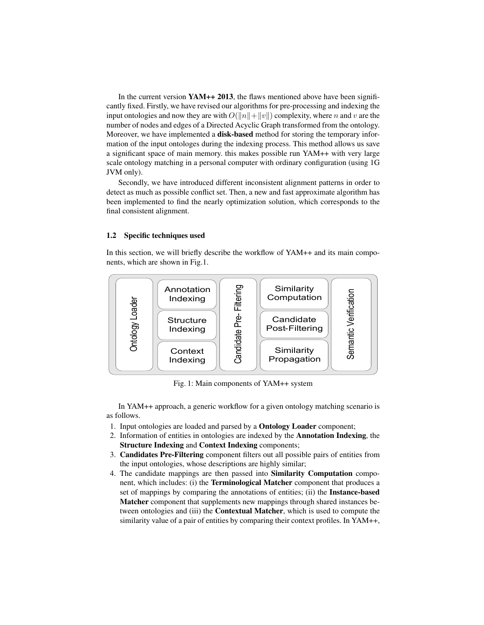In the current version YAM++ 2013, the flaws mentioned above have been significantly fixed. Firstly, we have revised our algorithms for pre-processing and indexing the input ontologies and now they are with  $O(||n||+||v||)$  complexity, where n and v are the number of nodes and edges of a Directed Acyclic Graph transformed from the ontology. Moreover, we have implemented a **disk-based** method for storing the temporary information of the input ontologes during the indexing process. This method allows us save a significant space of main memory. this makes possible run YAM++ with very large scale ontology matching in a personal computer with ordinary configuration (using 1G JVM only).

Secondly, we have introduced different inconsistent alignment patterns in order to detect as much as possible conflict set. Then, a new and fast approximate algorithm has been implemented to find the nearly optimization solution, which corresponds to the final consistent alignment.

#### 1.2 Specific techniques used

In this section, we will briefly describe the workflow of YAM++ and its main components, which are shown in Fig.1.



Fig. 1: Main components of YAM++ system

In YAM++ approach, a generic workflow for a given ontology matching scenario is as follows.

- 1. Input ontologies are loaded and parsed by a Ontology Loader component;
- 2. Information of entities in ontologies are indexed by the Annotation Indexing, the Structure Indexing and Context Indexing components;
- 3. Candidates Pre-Filtering component filters out all possible pairs of entities from the input ontologies, whose descriptions are highly similar;
- 4. The candidate mappings are then passed into Similarity Computation component, which includes: (i) the Terminological Matcher component that produces a set of mappings by comparing the annotations of entities; (ii) the Instance-based Matcher component that supplements new mappings through shared instances between ontologies and (iii) the Contextual Matcher, which is used to compute the similarity value of a pair of entities by comparing their context profiles. In YAM++,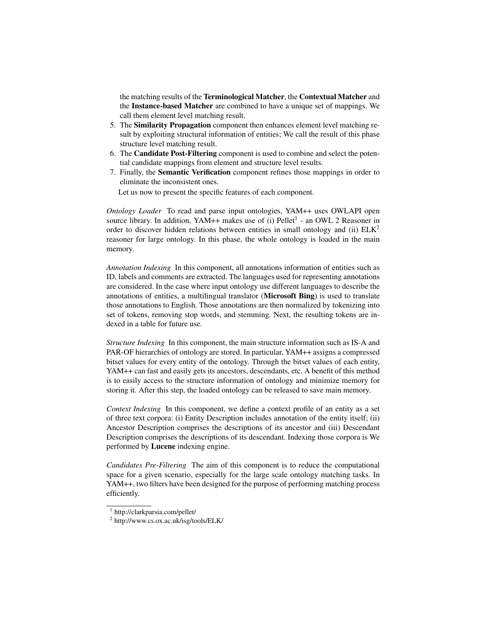the matching results of the Terminological Matcher, the Contextual Matcher and the Instance-based Matcher are combined to have a unique set of mappings. We call them element level matching result.

- 5. The Similarity Propagation component then enhances element level matching result by exploiting structural information of entities; We call the result of this phase structure level matching result.
- 6. The Candidate Post-Filtering component is used to combine and select the potential candidate mappings from element and structure level results.
- 7. Finally, the Semantic Verification component refines those mappings in order to eliminate the inconsistent ones.

Let us now to present the specific features of each component.

*Ontology Loader* To read and parse input ontologies, YAM++ uses OWLAPI open source library. In addition, YAM++ makes use of (i) Pellet<sup>1</sup> - an OWL 2 Reasoner in order to discover hidden relations between entities in small ontology and (ii)  $E L K<sup>2</sup>$ reasoner for large ontology. In this phase, the whole ontology is loaded in the main memory.

*Annotation Indexing* In this component, all annotations information of entities such as ID, labels and comments are extracted. The languages used for representing annotations are considered. In the case where input ontology use different languages to describe the annotations of entities, a multilingual translator (Microsoft Bing) is used to translate those annotations to English. Those annotations are then normalized by tokenizing into set of tokens, removing stop words, and stemming. Next, the resulting tokens are indexed in a table for future use.

*Structure Indexing* In this component, the main structure information such as IS-A and PAR-OF hierarchies of ontology are stored. In particular, YAM++ assigns a compressed bitset values for every entity of the ontology. Through the bitset values of each entity, YAM++ can fast and easily gets its ancestors, descendants, etc. A benefit of this method is to easily access to the structure information of ontology and minimize memory for storing it. After this step, the loaded ontology can be released to save main memory.

*Context Indexing* In this component, we define a context profile of an entity as a set of three text corpora: (i) Entity Description includes annotation of the entity itself; (ii) Ancestor Description comprises the descriptions of its ancestor and (iii) Descendant Description comprises the descriptions of its descendant. Indexing those corpora is We performed by Lucene indexing engine.

*Candidates Pre-Filtering* The aim of this component is to reduce the computational space for a given scenario, especially for the large scale ontology matching tasks. In YAM++, two filters have been designed for the purpose of performing matching process efficiently.

<sup>1</sup> http://clarkparsia.com/pellet/

<sup>&</sup>lt;sup>2</sup> http://www.cs.ox.ac.uk/isg/tools/ELK/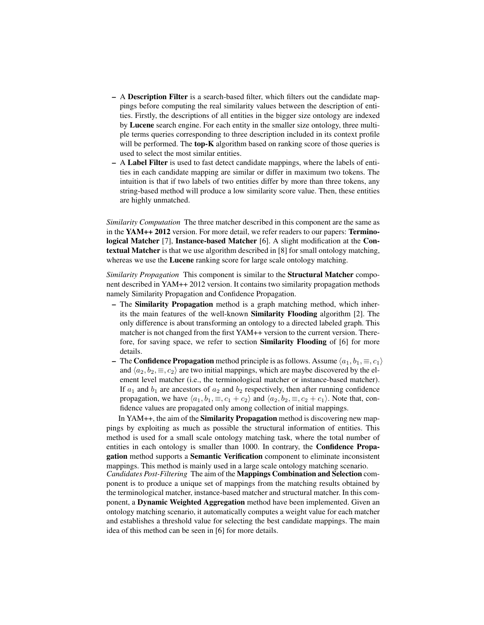- A Description Filter is a search-based filter, which filters out the candidate mappings before computing the real similarity values between the description of entities. Firstly, the descriptions of all entities in the bigger size ontology are indexed by Lucene search engine. For each entity in the smaller size ontology, three multiple terms queries corresponding to three description included in its context profile will be performed. The **top-K** algorithm based on ranking score of those queries is used to select the most similar entities.
- A Label Filter is used to fast detect candidate mappings, where the labels of entities in each candidate mapping are similar or differ in maximum two tokens. The intuition is that if two labels of two entities differ by more than three tokens, any string-based method will produce a low similarity score value. Then, these entities are highly unmatched.

*Similarity Computation* The three matcher described in this component are the same as in the YAM++ 2012 version. For more detail, we refer readers to our papers: Terminological Matcher [7], Instance-based Matcher [6]. A slight modification at the Contextual Matcher is that we use algorithm described in [8] for small ontology matching, whereas we use the **Lucene** ranking score for large scale ontology matching.

*Similarity Propagation* This component is similar to the Structural Matcher component described in YAM++ 2012 version. It contains two similarity propagation methods namely Similarity Propagation and Confidence Propagation.

- The Similarity Propagation method is a graph matching method, which inherits the main features of the well-known Similarity Flooding algorithm [2]. The only difference is about transforming an ontology to a directed labeled graph. This matcher is not changed from the first YAM++ version to the current version. Therefore, for saving space, we refer to section Similarity Flooding of [6] for more details.
- The Confidence Propagation method principle is as follows. Assume  $\langle a_1, b_1, \equiv, c_1 \rangle$ and  $\langle a_2, b_2, \equiv, c_2 \rangle$  are two initial mappings, which are maybe discovered by the element level matcher (i.e., the terminological matcher or instance-based matcher). If  $a_1$  and  $b_1$  are ancestors of  $a_2$  and  $b_2$  respectively, then after running confidence propagation, we have  $\langle a_1, b_1, \equiv, c_1 + c_2 \rangle$  and  $\langle a_2, b_2, \equiv, c_2 + c_1 \rangle$ . Note that, confidence values are propagated only among collection of initial mappings.

In YAM++, the aim of the Similarity Propagation method is discovering new mappings by exploiting as much as possible the structural information of entities. This method is used for a small scale ontology matching task, where the total number of entities in each ontology is smaller than 1000. In contrary, the Confidence Propagation method supports a Semantic Verification component to eliminate inconsistent mappings. This method is mainly used in a large scale ontology matching scenario.

*Candidates Post-Filtering* The aim of the Mappings Combination and Selection component is to produce a unique set of mappings from the matching results obtained by the terminological matcher, instance-based matcher and structural matcher. In this component, a Dynamic Weighted Aggregation method have been implemented. Given an ontology matching scenario, it automatically computes a weight value for each matcher and establishes a threshold value for selecting the best candidate mappings. The main idea of this method can be seen in [6] for more details.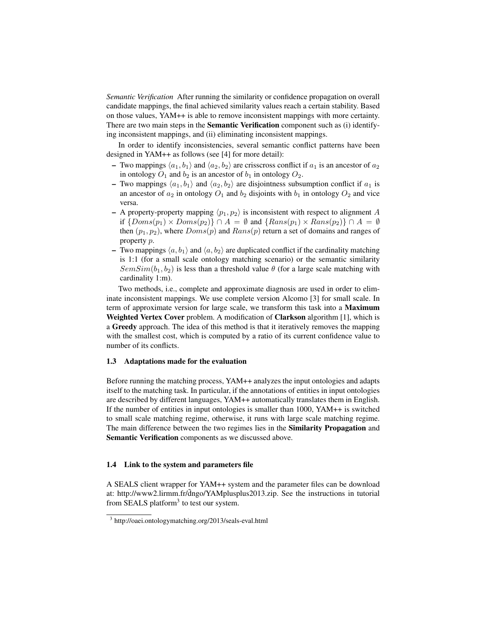*Semantic Verification* After running the similarity or confidence propagation on overall candidate mappings, the final achieved similarity values reach a certain stability. Based on those values, YAM++ is able to remove inconsistent mappings with more certainty. There are two main steps in the **Semantic Verification** component such as (i) identifying inconsistent mappings, and (ii) eliminating inconsistent mappings.

In order to identify inconsistencies, several semantic conflict patterns have been designed in YAM++ as follows (see [4] for more detail):

- Two mappings  $\langle a_1, b_1 \rangle$  and  $\langle a_2, b_2 \rangle$  are crisscross conflict if  $a_1$  is an ancestor of  $a_2$ in ontology  $O_1$  and  $b_2$  is an ancestor of  $b_1$  in ontology  $O_2$ .
- Two mappings  $\langle a_1, b_1 \rangle$  and  $\langle a_2, b_2 \rangle$  are disjointness subsumption conflict if  $a_1$  is an ancestor of  $a_2$  in ontology  $O_1$  and  $b_2$  disjoints with  $b_1$  in ontology  $O_2$  and vice versa.
- A property-property mapping  $\langle p_1, p_2 \rangle$  is inconsistent with respect to alignment A if  $\{Doms(p_1) \times Doms(p_2)\} \cap A = \emptyset$  and  $\{Rans(p_1) \times Rans(p_2)\} \cap A = \emptyset$ then  $(p_1, p_2)$ , where  $Doms(p)$  and  $Rans(p)$  return a set of domains and ranges of property p.
- Two mappings  $\langle a, b_1 \rangle$  and  $\langle a, b_2 \rangle$  are duplicated conflict if the cardinality matching is 1:1 (for a small scale ontology matching scenario) or the semantic similarity  $SemSim(b_1, b_2)$  is less than a threshold value  $\theta$  (for a large scale matching with cardinality 1:m).

Two methods, i.e., complete and approximate diagnosis are used in order to eliminate inconsistent mappings. We use complete version Alcomo [3] for small scale. In term of approximate version for large scale, we transform this task into a Maximum Weighted Vertex Cover problem. A modification of Clarkson algorithm [1], which is a Greedy approach. The idea of this method is that it iteratively removes the mapping with the smallest cost, which is computed by a ratio of its current confidence value to number of its conflicts.

#### 1.3 Adaptations made for the evaluation

Before running the matching process, YAM++ analyzes the input ontologies and adapts itself to the matching task. In particular, if the annotations of entities in input ontologies are described by different languages, YAM++ automatically translates them in English. If the number of entities in input ontologies is smaller than 1000, YAM++ is switched to small scale matching regime, otherwise, it runs with large scale matching regime. The main difference between the two regimes lies in the Similarity Propagation and Semantic Verification components as we discussed above.

#### 1.4 Link to the system and parameters file

A SEALS client wrapper for YAM++ system and the parameter files can be download at: http://www2.lirmm.fr/dngo/YAMplusplus2013.zip. See the instructions in tutorial from SEALS platform<sup>3</sup> to test our system.

<sup>3</sup> http://oaei.ontologymatching.org/2013/seals-eval.html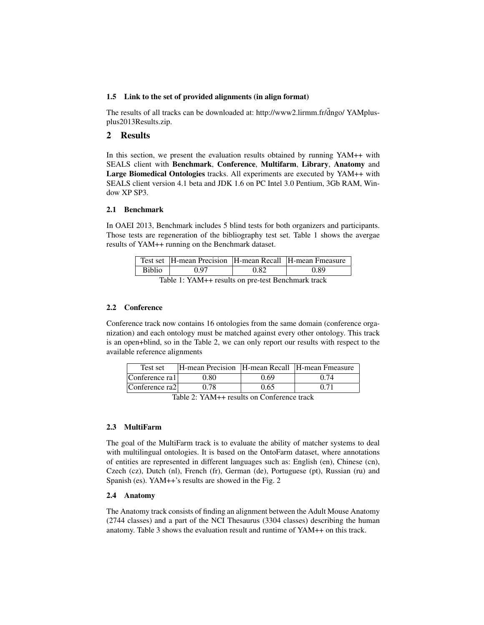#### 1.5 Link to the set of provided alignments (in align format)

The results of all tracks can be downloaded at: http://www2.lirmm.fr/dngo/ YAMplusplus2013Results.zip.

## 2 Results

In this section, we present the evaluation results obtained by running YAM++ with SEALS client with Benchmark, Conference, Multifarm, Library, Anatomy and Large Biomedical Ontologies tracks. All experiments are executed by YAM++ with SEALS client version 4.1 beta and JDK 1.6 on PC Intel 3.0 Pentium, 3Gb RAM, Window XP SP3.

## 2.1 Benchmark

In OAEI 2013, Benchmark includes 5 blind tests for both organizers and participants. Those tests are regeneration of the bibliography test set. Table 1 shows the avergae results of YAM++ running on the Benchmark dataset.

|                                                 | Test set  H-mean Precision  H-mean Recall  H-mean Fmeasure |      |      |  |  |  |
|-------------------------------------------------|------------------------------------------------------------|------|------|--|--|--|
| <b>Biblio</b>                                   | ነ 97                                                       | 0.82 | O 89 |  |  |  |
| Table 1, VAM u goodte on not been bondered tool |                                                            |      |      |  |  |  |

Table 1: YAM++ results on pre-test Benchmark track

## 2.2 Conference

Conference track now contains 16 ontologies from the same domain (conference organization) and each ontology must be matched against every other ontology. This track is an open+blind, so in the Table 2, we can only report our results with respect to the available reference alignments

| Test set       | H-mean Precision   H-mean Recall   H-mean Fmeasure |      |      |
|----------------|----------------------------------------------------|------|------|
| Conference ral | 0.80                                               | 0.69 | 0.74 |
| Conference ra2 | 0.78                                               | 0.65 | 0.71 |

Table 2: YAM++ results on Conference track

## 2.3 MultiFarm

The goal of the MultiFarm track is to evaluate the ability of matcher systems to deal with multilingual ontologies. It is based on the OntoFarm dataset, where annotations of entities are represented in different languages such as: English (en), Chinese (cn), Czech (cz), Dutch (nl), French (fr), German (de), Portuguese (pt), Russian (ru) and Spanish (es). YAM++'s results are showed in the Fig. 2

## 2.4 Anatomy

The Anatomy track consists of finding an alignment between the Adult Mouse Anatomy (2744 classes) and a part of the NCI Thesaurus (3304 classes) describing the human anatomy. Table 3 shows the evaluation result and runtime of YAM++ on this track.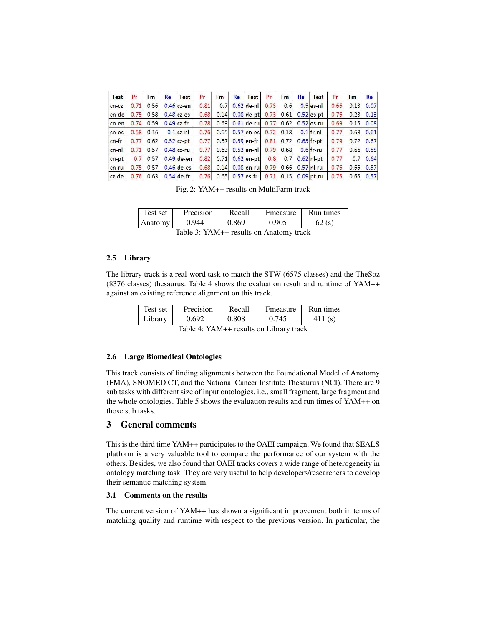| Test     | Pr   | <b>Fm</b> | Re | Test         | Pr   | Fm   | <b>Re</b> | Test         | Pr   | Fm   | Re | Test         | Pr   | Fm   | Re   |
|----------|------|-----------|----|--------------|------|------|-----------|--------------|------|------|----|--------------|------|------|------|
| cn-cz    | 0.71 | 0.56      |    | $0.46$ cz-en | 0.81 | 0.7  |           | $0.62$ de-nl | 0.73 | 0.6  |    | $0.5$ es-nl  | 0.66 | 0.13 | 0.07 |
| cn-de    | 0.75 | 0.58      |    | $0.48$ cz-es | 0.68 | 0.14 |           | $0.08$ de-pt | 0.73 | 0.61 |    | $0.52$ es-pt | 0.76 | 0.23 | 0.13 |
| cn-en    | 0.74 | 0.59      |    | $0.49$ cz-fr | 0.78 | 0.69 |           | $0.61$ de-ru | 0.77 | 0.62 |    | $0.52$ es-ru | 0.69 | 0.15 | 0.08 |
| cn-es    | 0.58 | 0.16      |    | $0.1$ cz-nl  | 0.76 | 0.65 |           | $0.57$ en-es | 0.72 | 0.18 |    | $0.1$ fr-nl  | 0.77 | 0.68 | 0.61 |
| $cn$ -fr | 0.77 | 0.62      |    | $0.52$ cz-pt | 0.77 | 0.67 |           | $0.59$ en-fr | 0.81 | 0.72 |    | $0.65$ fr-pt | 0.79 | 0.72 | 0.67 |
| cn-nl    | 0.71 | 0.57      |    | $0.48$ cz-ru | 0.77 | 0.63 |           | $0.53$ en-nl | 0.79 | 0.68 |    | $0.6$ fr-ru  | 0.77 | 0.66 | 0.58 |
| cn-pt    | 0.7  | 0.57      |    | $0.49$ de-en | 0.82 | 0.71 |           | $0.62$ en-pt | 0.8  | 0.7  |    | $0.62$ nl pt | 0.77 | 0.7  | 0.64 |
| $cn$ -ru | 0.75 | 0.57      |    | $0.46$ de-es | 0.68 | 0.14 |           | $0.08$ en-ru | 0.79 | 0.66 |    | $0.57$ nl-ru | 0.76 | 0.65 | 0.57 |
| cz-de    | 0.76 | 0.63      |    | $0.54$ de-fr | 0.76 | 0.65 |           | $0.57$ es-fr | 0.71 | 0.15 |    | $0.09$ pt-ru | 0.75 | 0.65 | 0.57 |

Fig. 2: YAM++ results on MultiFarm track

| Test set                                  | Precision | Recall | Fmeasure | Run times |  |  |  |
|-------------------------------------------|-----------|--------|----------|-----------|--|--|--|
| Anatomy                                   | 0.944     | 0.869  | 0.905    | 62(s)     |  |  |  |
| Table $3: YAM++$ results on Anatomy track |           |        |          |           |  |  |  |

Table 3: YAM++ results on Anatomy track

#### 2.5 Library

The library track is a real-word task to match the STW (6575 classes) and the TheSoz (8376 classes) thesaurus. Table 4 shows the evaluation result and runtime of YAM++ against an existing reference alignment on this track.

| Test set | Precision | Recall | Fmeasure | Run times |
|----------|-----------|--------|----------|-----------|
| Library  | ገ 692.    | 0.808  |          |           |

Table 4: YAM++ results on Library track

#### 2.6 Large Biomedical Ontologies

This track consists of finding alignments between the Foundational Model of Anatomy (FMA), SNOMED CT, and the National Cancer Institute Thesaurus (NCI). There are 9 sub tasks with different size of input ontologies, i.e., small fragment, large fragment and the whole ontologies. Table 5 shows the evaluation results and run times of YAM++ on those sub tasks.

## 3 General comments

This is the third time YAM++ participates to the OAEI campaign. We found that SEALS platform is a very valuable tool to compare the performance of our system with the others. Besides, we also found that OAEI tracks covers a wide range of heterogeneity in ontology matching task. They are very useful to help developers/researchers to develop their semantic matching system.

#### 3.1 Comments on the results

The current version of YAM++ has shown a significant improvement both in terms of matching quality and runtime with respect to the previous version. In particular, the